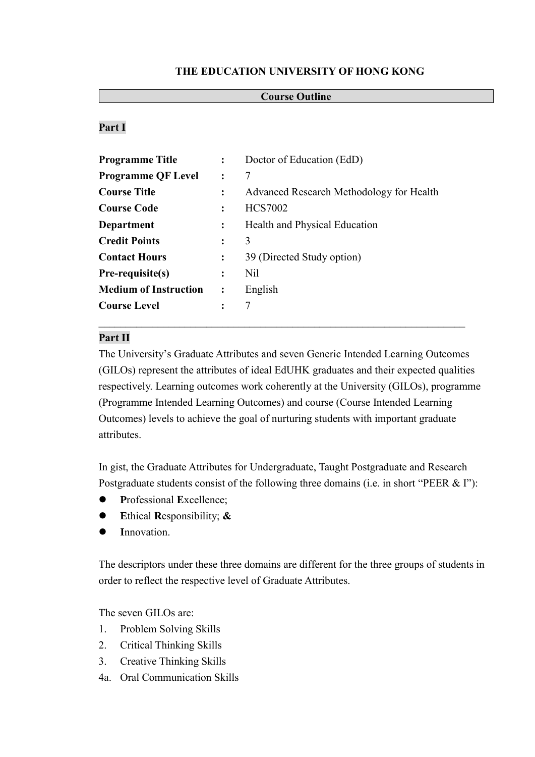# **THE EDUCATION UNIVERSITY OF HONG KONG**

## **Course Outline**

# **Part I**

| Programme Title              | $\mathbf{L}$   | Doctor of Education (EdD)                |  |
|------------------------------|----------------|------------------------------------------|--|
| <b>Programme QF Level</b>    | $\ddot{\cdot}$ | 7                                        |  |
| <b>Course Title</b>          | $\ddot{\cdot}$ | Advanced Research Methodology for Health |  |
| <b>Course Code</b>           |                | <b>HCS7002</b>                           |  |
| Department                   | $\ddot{\cdot}$ | Health and Physical Education            |  |
| <b>Credit Points</b>         |                | 3                                        |  |
| <b>Contact Hours</b>         | $\ddot{\cdot}$ | 39 (Directed Study option)               |  |
| Pre-requisite(s)             | $\ddot{\cdot}$ | N <sub>il</sub>                          |  |
| <b>Medium of Instruction</b> | $\ddot{\cdot}$ | English                                  |  |
| <b>Course Level</b>          | $\ddot{\cdot}$ | 7                                        |  |
|                              |                |                                          |  |

### **Part II**

The University's Graduate Attributes and seven Generic Intended Learning Outcomes (GILOs) represent the attributes of ideal EdUHK graduates and their expected qualities respectively. Learning outcomes work coherently at the University (GILOs), programme (Programme Intended Learning Outcomes) and course (Course Intended Learning Outcomes) levels to achieve the goal of nurturing students with important graduate attributes.

In gist, the Graduate Attributes for Undergraduate, Taught Postgraduate and Research Postgraduate students consist of the following three domains (i.e. in short "PEER & I"):

- **P**rofessional **E**xcellence;
- **E**thical **R**esponsibility; **&**
- **I**nnovation.

The descriptors under these three domains are different for the three groups of students in order to reflect the respective level of Graduate Attributes.

The seven GILOs are:

- 1. Problem Solving Skills
- 2. Critical Thinking Skills
- 3. Creative Thinking Skills
- 4a. Oral Communication Skills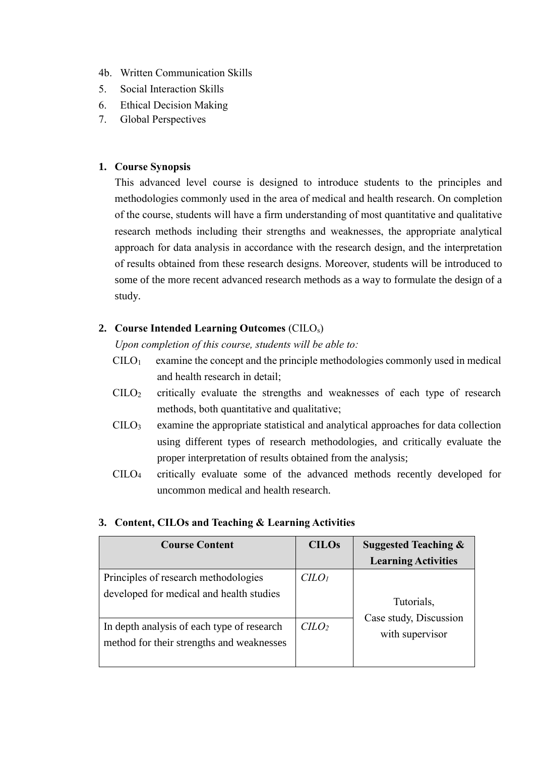- 4b. Written Communication Skills
- 5. Social Interaction Skills
- 6. Ethical Decision Making
- 7. Global Perspectives

### **1. Course Synopsis**

This advanced level course is designed to introduce students to the principles and methodologies commonly used in the area of medical and health research. On completion of the course, students will have a firm understanding of most quantitative and qualitative research methods including their strengths and weaknesses, the appropriate analytical approach for data analysis in accordance with the research design, and the interpretation of results obtained from these research designs. Moreover, students will be introduced to some of the more recent advanced research methods as a way to formulate the design of a study.

# **2. Course Intended Learning Outcomes** (CILOs)

*Upon completion of this course, students will be able to:*

- $C I L O<sub>1</sub>$  examine the concept and the principle methodologies commonly used in medical and health research in detail;
- CILO<sup>2</sup> critically evaluate the strengths and weaknesses of each type of research methods, both quantitative and qualitative;
- CILO<sup>3</sup> examine the appropriate statistical and analytical approaches for data collection using different types of research methodologies, and critically evaluate the proper interpretation of results obtained from the analysis;
- CILO<sup>4</sup> critically evaluate some of the advanced methods recently developed for uncommon medical and health research.

| <b>Course Content</b>                                                                   | <b>CILOs</b>                | <b>Suggested Teaching &amp;</b><br><b>Learning Activities</b> |
|-----------------------------------------------------------------------------------------|-----------------------------|---------------------------------------------------------------|
| Principles of research methodologies<br>developed for medical and health studies        | C <sub>LO<sub>l</sub></sub> | Tutorials,                                                    |
| In depth analysis of each type of research<br>method for their strengths and weaknesses | C <sub>LO</sub>             | Case study, Discussion<br>with supervisor                     |

#### **3. Content, CILOs and Teaching & Learning Activities**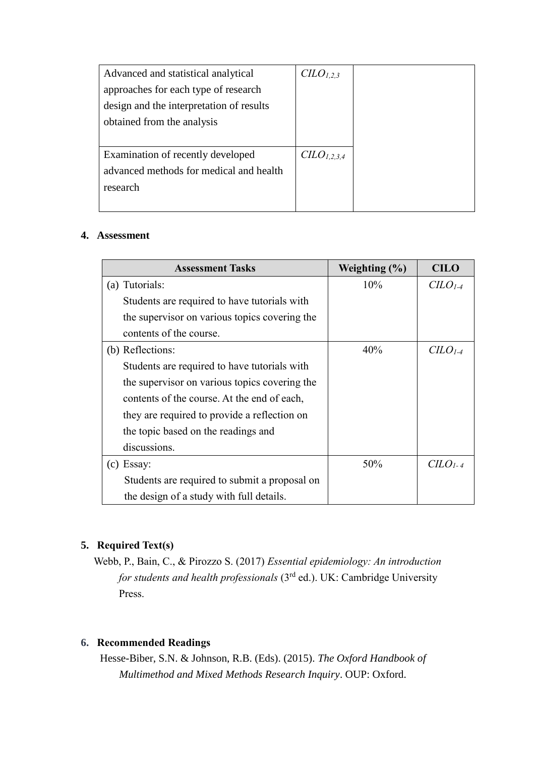| Advanced and statistical analytical      | C <sub>L</sub> O <sub>L,2,3</sub>   |
|------------------------------------------|-------------------------------------|
| approaches for each type of research     |                                     |
| design and the interpretation of results |                                     |
| obtained from the analysis               |                                     |
|                                          |                                     |
| Examination of recently developed        | C <sub>L</sub> O <sub>L</sub> 2,3,4 |
| advanced methods for medical and health  |                                     |
| research                                 |                                     |
|                                          |                                     |

# **4. Assessment**

| <b>Assessment Tasks</b>                       | Weighting $(\% )$ | <b>CILO</b> |
|-----------------------------------------------|-------------------|-------------|
| (a) Tutorials:                                | 10%               | $CLO1-4$    |
| Students are required to have tutorials with  |                   |             |
| the supervisor on various topics covering the |                   |             |
| contents of the course.                       |                   |             |
| (b) Reflections:                              | 40%               | $C1-4$      |
| Students are required to have tutorials with  |                   |             |
| the supervisor on various topics covering the |                   |             |
| contents of the course. At the end of each,   |                   |             |
| they are required to provide a reflection on  |                   |             |
| the topic based on the readings and           |                   |             |
| discussions.                                  |                   |             |
| $(c)$ Essay:                                  | 50%               | $CLO1-4$    |
| Students are required to submit a proposal on |                   |             |
| the design of a study with full details.      |                   |             |

# **5. Required Text(s)**

Webb, P., Bain, C., & Pirozzo S. (2017) *Essential epidemiology: An introduction for students and health professionals* (3rd ed.). UK: Cambridge University Press.

# **6. Recommended Readings**

Hesse-Biber, S.N. & Johnson, R.B. (Eds). (2015). *The Oxford Handbook of Multimethod and Mixed Methods Research Inquiry*. OUP: Oxford.